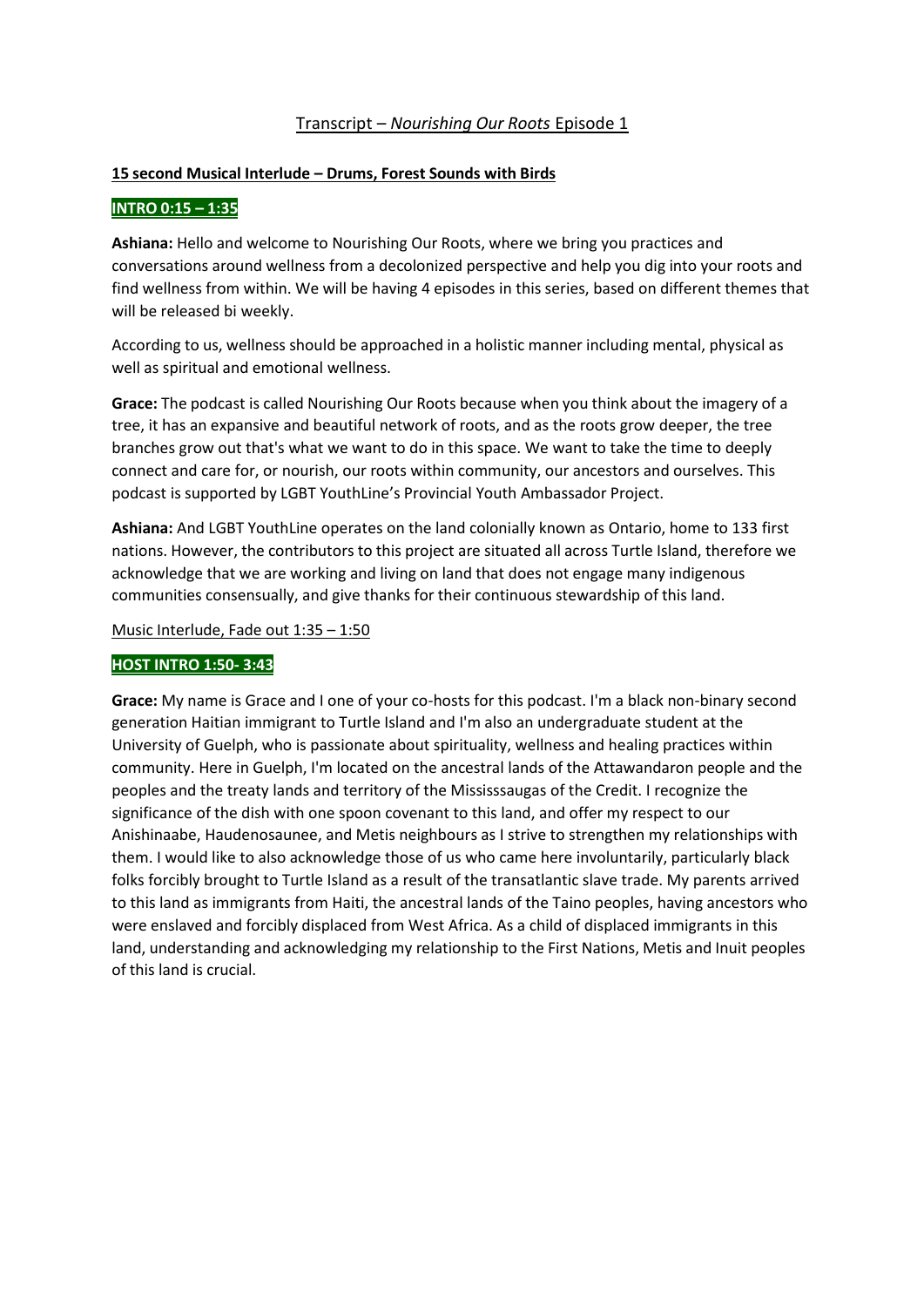# Transcript – *Nourishing Our Roots* Episode 1

## **15 second Musical Interlude – Drums, Forest Sounds with Birds**

# **INTRO 0:15 – 1:35**

**Ashiana:** Hello and welcome to Nourishing Our Roots, where we bring you practices and conversations around wellness from a decolonized perspective and help you dig into your roots and find wellness from within. We will be having 4 episodes in this series, based on different themes that will be released bi weekly.

According to us, wellness should be approached in a holistic manner including mental, physical as well as spiritual and emotional wellness.

**Grace:** The podcast is called Nourishing Our Roots because when you think about the imagery of a tree, it has an expansive and beautiful network of roots, and as the roots grow deeper, the tree branches grow out that's what we want to do in this space. We want to take the time to deeply connect and care for, or nourish, our roots within community, our ancestors and ourselves. This podcast is supported by LGBT YouthLine's Provincial Youth Ambassador Project.

**Ashiana:** And LGBT YouthLine operates on the land colonially known as Ontario, home to 133 first nations. However, the contributors to this project are situated all across Turtle Island, therefore we acknowledge that we are working and living on land that does not engage many indigenous communities consensually, and give thanks for their continuous stewardship of this land.

Music Interlude, Fade out 1:35 – 1:50

## **HOST INTRO 1:50- 3:43**

**Grace:** My name is Grace and I one of your co-hosts for this podcast. I'm a black non-binary second generation Haitian immigrant to Turtle Island and I'm also an undergraduate student at the University of Guelph, who is passionate about spirituality, wellness and healing practices within community. Here in Guelph, I'm located on the ancestral lands of the Attawandaron people and the peoples and the treaty lands and territory of the Mississsaugas of the Credit. I recognize the significance of the dish with one spoon covenant to this land, and offer my respect to our Anishinaabe, Haudenosaunee, and Metis neighbours as I strive to strengthen my relationships with them. I would like to also acknowledge those of us who came here involuntarily, particularly black folks forcibly brought to Turtle Island as a result of the transatlantic slave trade. My parents arrived to this land as immigrants from Haiti, the ancestral lands of the Taino peoples, having ancestors who were enslaved and forcibly displaced from West Africa. As a child of displaced immigrants in this land, understanding and acknowledging my relationship to the First Nations, Metis and Inuit peoples of this land is crucial.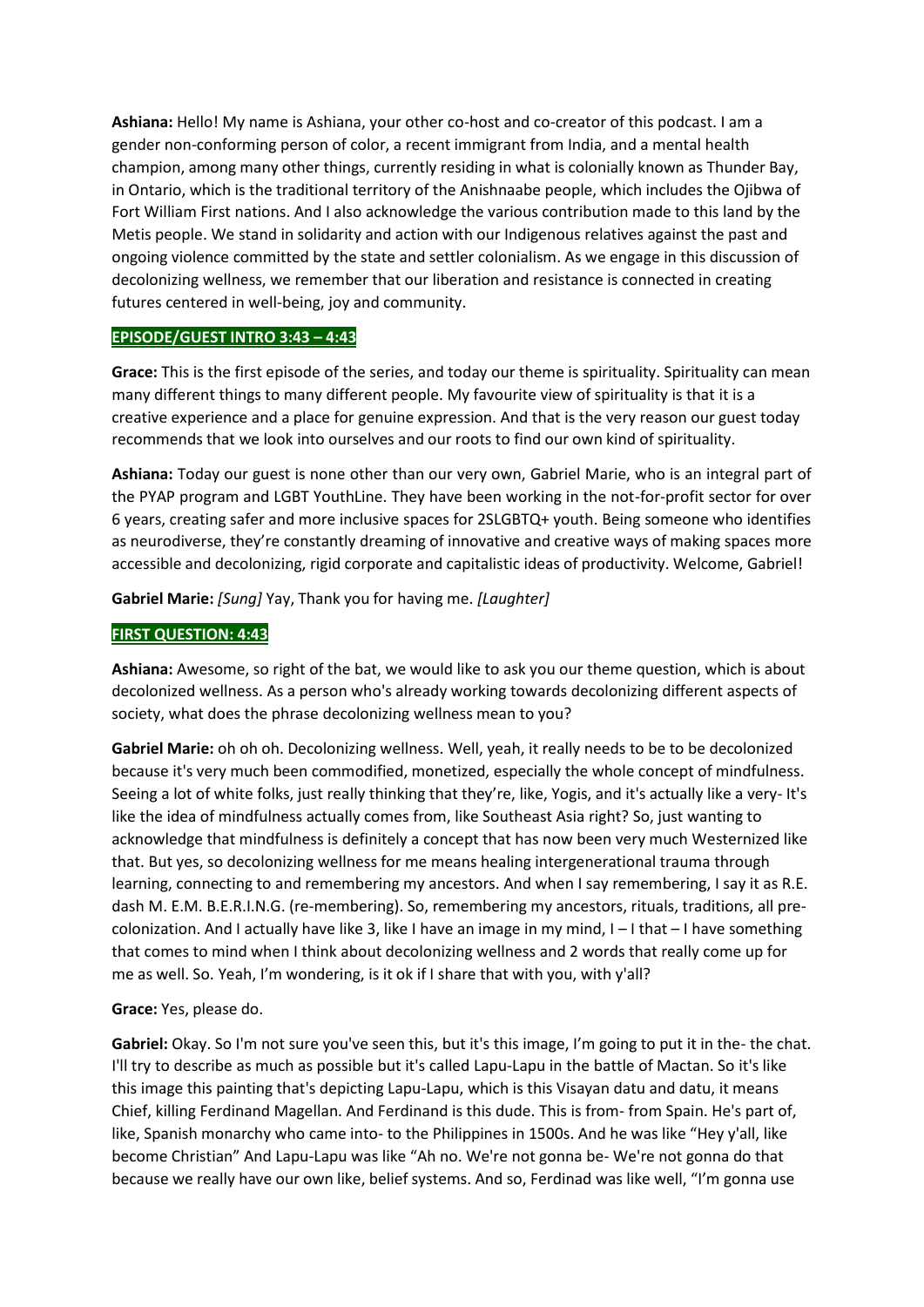**Ashiana:** Hello! My name is Ashiana, your other co-host and co-creator of this podcast. I am a gender non-conforming person of color, a recent immigrant from India, and a mental health champion, among many other things, currently residing in what is colonially known as Thunder Bay, in Ontario, which is the traditional territory of the Anishnaabe people, which includes the Ojibwa of Fort William First nations. And I also acknowledge the various contribution made to this land by the Metis people. We stand in solidarity and action with our Indigenous relatives against the past and ongoing violence committed by the state and settler colonialism. As we engage in this discussion of decolonizing wellness, we remember that our liberation and resistance is connected in creating futures centered in well-being, joy and community.

# **EPISODE/GUEST INTRO 3:43 – 4:43**

**Grace:** This is the first episode of the series, and today our theme is spirituality. Spirituality can mean many different things to many different people. My favourite view of spirituality is that it is a creative experience and a place for genuine expression. And that is the very reason our guest today recommends that we look into ourselves and our roots to find our own kind of spirituality.

**Ashiana:** Today our guest is none other than our very own, Gabriel Marie, who is an integral part of the PYAP program and LGBT YouthLine. They have been working in the not-for-profit sector for over 6 years, creating safer and more inclusive spaces for 2SLGBTQ+ youth. Being someone who identifies as neurodiverse, they're constantly dreaming of innovative and creative ways of making spaces more accessible and decolonizing, rigid corporate and capitalistic ideas of productivity. Welcome, Gabriel!

**Gabriel Marie:** *[Sung]* Yay, Thank you for having me. *[Laughter]*

# **FIRST QUESTION: 4:43**

**Ashiana:** Awesome, so right of the bat, we would like to ask you our theme question, which is about decolonized wellness. As a person who's already working towards decolonizing different aspects of society, what does the phrase decolonizing wellness mean to you?

**Gabriel Marie:** oh oh oh. Decolonizing wellness. Well, yeah, it really needs to be to be decolonized because it's very much been commodified, monetized, especially the whole concept of mindfulness. Seeing a lot of white folks, just really thinking that they're, like, Yogis, and it's actually like a very- It's like the idea of mindfulness actually comes from, like Southeast Asia right? So, just wanting to acknowledge that mindfulness is definitely a concept that has now been very much Westernized like that. But yes, so decolonizing wellness for me means healing intergenerational trauma through learning, connecting to and remembering my ancestors. And when I say remembering, I say it as R.E. dash M. E.M. B.E.R.I.N.G. (re-membering). So, remembering my ancestors, rituals, traditions, all precolonization. And I actually have like 3, like I have an image in my mind, I – I that – I have something that comes to mind when I think about decolonizing wellness and 2 words that really come up for me as well. So. Yeah, I'm wondering, is it ok if I share that with you, with y'all?

## **Grace:** Yes, please do.

**Gabriel:** Okay. So I'm not sure you've seen this, but it's this image, I'm going to put it in the- the chat. I'll try to describe as much as possible but it's called Lapu-Lapu in the battle of Mactan. So it's like this image this painting that's depicting Lapu-Lapu, which is this Visayan datu and datu, it means Chief, killing Ferdinand Magellan. And Ferdinand is this dude. This is from- from Spain. He's part of, like, Spanish monarchy who came into- to the Philippines in 1500s. And he was like "Hey y'all, like become Christian" And Lapu-Lapu was like "Ah no. We're not gonna be- We're not gonna do that because we really have our own like, belief systems. And so, Ferdinad was like well, "I'm gonna use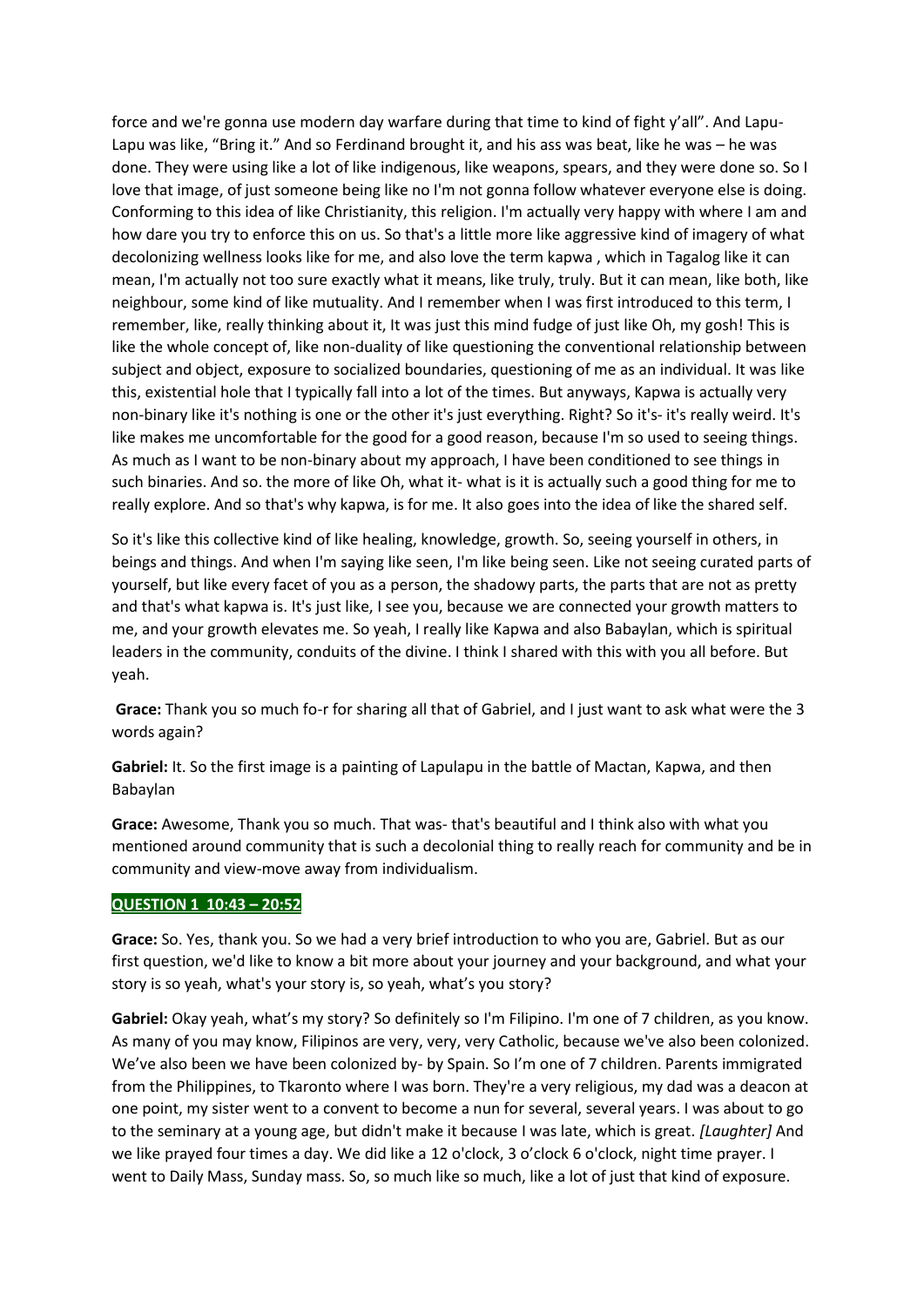force and we're gonna use modern day warfare during that time to kind of fight y'all". And Lapu-Lapu was like, "Bring it." And so Ferdinand brought it, and his ass was beat, like he was – he was done. They were using like a lot of like indigenous, like weapons, spears, and they were done so. So I love that image, of just someone being like no I'm not gonna follow whatever everyone else is doing. Conforming to this idea of like Christianity, this religion. I'm actually very happy with where I am and how dare you try to enforce this on us. So that's a little more like aggressive kind of imagery of what decolonizing wellness looks like for me, and also love the term kapwa , which in Tagalog like it can mean, I'm actually not too sure exactly what it means, like truly, truly. But it can mean, like both, like neighbour, some kind of like mutuality. And I remember when I was first introduced to this term, I remember, like, really thinking about it, It was just this mind fudge of just like Oh, my gosh! This is like the whole concept of, like non-duality of like questioning the conventional relationship between subject and object, exposure to socialized boundaries, questioning of me as an individual. It was like this, existential hole that I typically fall into a lot of the times. But anyways, Kapwa is actually very non-binary like it's nothing is one or the other it's just everything. Right? So it's- it's really weird. It's like makes me uncomfortable for the good for a good reason, because I'm so used to seeing things. As much as I want to be non-binary about my approach, I have been conditioned to see things in such binaries. And so. the more of like Oh, what it- what is it is actually such a good thing for me to really explore. And so that's why kapwa, is for me. It also goes into the idea of like the shared self.

So it's like this collective kind of like healing, knowledge, growth. So, seeing yourself in others, in beings and things. And when I'm saying like seen, I'm like being seen. Like not seeing curated parts of yourself, but like every facet of you as a person, the shadowy parts, the parts that are not as pretty and that's what kapwa is. It's just like, I see you, because we are connected your growth matters to me, and your growth elevates me. So yeah, I really like Kapwa and also Babaylan, which is spiritual leaders in the community, conduits of the divine. I think I shared with this with you all before. But yeah.

**Grace:** Thank you so much fo-r for sharing all that of Gabriel, and I just want to ask what were the 3 words again?

**Gabriel:** It. So the first image is a painting of Lapulapu in the battle of Mactan, Kapwa, and then Babaylan

**Grace:** Awesome, Thank you so much. That was- that's beautiful and I think also with what you mentioned around community that is such a decolonial thing to really reach for community and be in community and view-move away from individualism.

## **QUESTION 1 10:43 – 20:52**

**Grace:** So. Yes, thank you. So we had a very brief introduction to who you are, Gabriel. But as our first question, we'd like to know a bit more about your journey and your background, and what your story is so yeah, what's your story is, so yeah, what's you story?

**Gabriel:** Okay yeah, what's my story? So definitely so I'm Filipino. I'm one of 7 children, as you know. As many of you may know, Filipinos are very, very, very Catholic, because we've also been colonized. We've also been we have been colonized by- by Spain. So I'm one of 7 children. Parents immigrated from the Philippines, to Tkaronto where I was born. They're a very religious, my dad was a deacon at one point, my sister went to a convent to become a nun for several, several years. I was about to go to the seminary at a young age, but didn't make it because I was late, which is great. *[Laughter]* And we like prayed four times a day. We did like a 12 o'clock, 3 o'clock 6 o'clock, night time prayer. I went to Daily Mass, Sunday mass. So, so much like so much, like a lot of just that kind of exposure.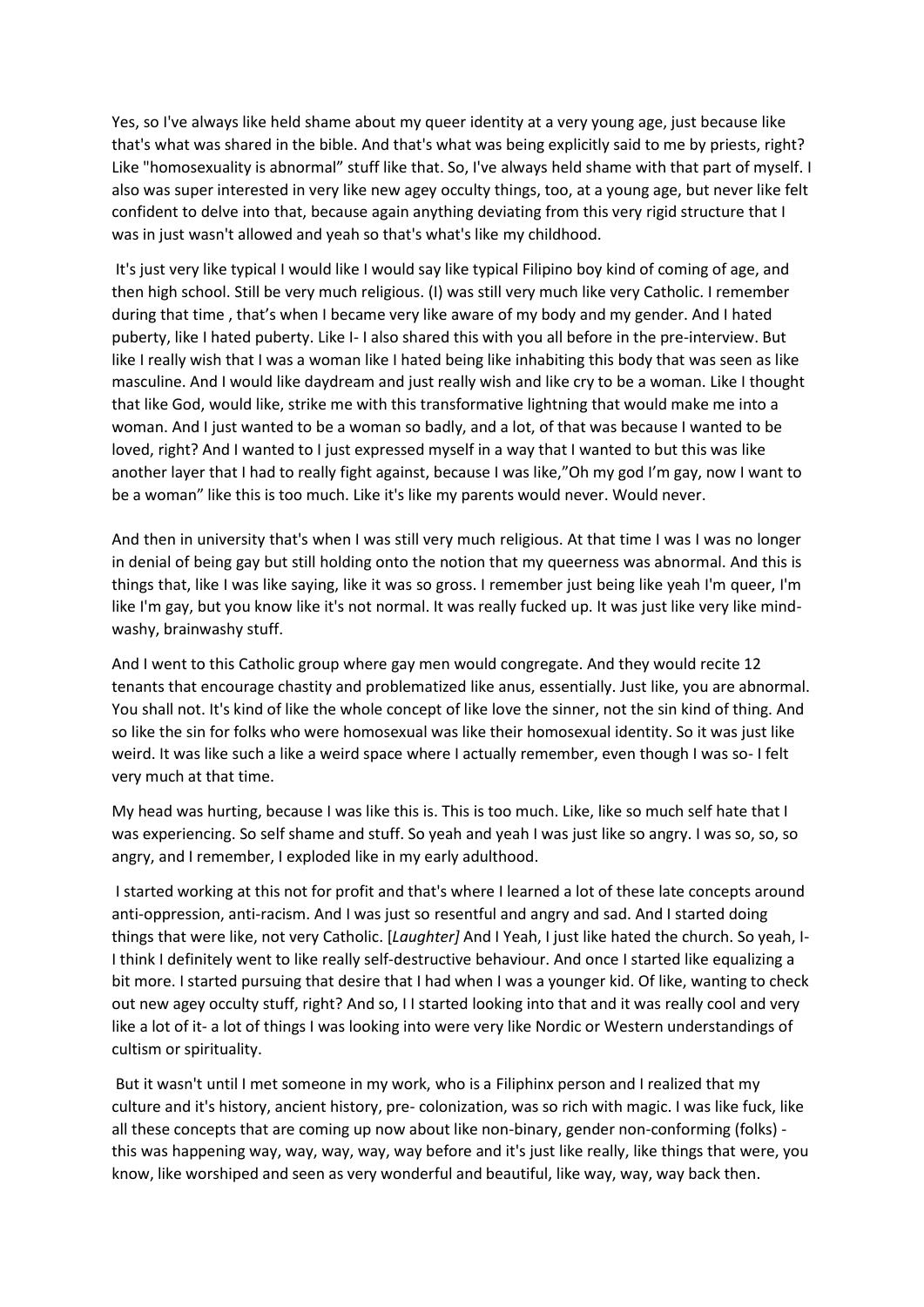Yes, so I've always like held shame about my queer identity at a very young age, just because like that's what was shared in the bible. And that's what was being explicitly said to me by priests, right? Like "homosexuality is abnormal" stuff like that. So, I've always held shame with that part of myself. I also was super interested in very like new agey occulty things, too, at a young age, but never like felt confident to delve into that, because again anything deviating from this very rigid structure that I was in just wasn't allowed and yeah so that's what's like my childhood.

It's just very like typical I would like I would say like typical Filipino boy kind of coming of age, and then high school. Still be very much religious. (I) was still very much like very Catholic. I remember during that time , that's when I became very like aware of my body and my gender. And I hated puberty, like I hated puberty. Like I- I also shared this with you all before in the pre-interview. But like I really wish that I was a woman like I hated being like inhabiting this body that was seen as like masculine. And I would like daydream and just really wish and like cry to be a woman. Like I thought that like God, would like, strike me with this transformative lightning that would make me into a woman. And I just wanted to be a woman so badly, and a lot, of that was because I wanted to be loved, right? And I wanted to I just expressed myself in a way that I wanted to but this was like another layer that I had to really fight against, because I was like,"Oh my god I'm gay, now I want to be a woman" like this is too much. Like it's like my parents would never. Would never.

And then in university that's when I was still very much religious. At that time I was I was no longer in denial of being gay but still holding onto the notion that my queerness was abnormal. And this is things that, like I was like saying, like it was so gross. I remember just being like yeah I'm queer, I'm like I'm gay, but you know like it's not normal. It was really fucked up. It was just like very like mindwashy, brainwashy stuff.

And I went to this Catholic group where gay men would congregate. And they would recite 12 tenants that encourage chastity and problematized like anus, essentially. Just like, you are abnormal. You shall not. It's kind of like the whole concept of like love the sinner, not the sin kind of thing. And so like the sin for folks who were homosexual was like their homosexual identity. So it was just like weird. It was like such a like a weird space where I actually remember, even though I was so- I felt very much at that time.

My head was hurting, because I was like this is. This is too much. Like, like so much self hate that I was experiencing. So self shame and stuff. So yeah and yeah I was just like so angry. I was so, so, so angry, and I remember, I exploded like in my early adulthood.

I started working at this not for profit and that's where I learned a lot of these late concepts around anti-oppression, anti-racism. And I was just so resentful and angry and sad. And I started doing things that were like, not very Catholic. [*Laughter]* And I Yeah, I just like hated the church. So yeah, I-I think I definitely went to like really self-destructive behaviour. And once I started like equalizing a bit more. I started pursuing that desire that I had when I was a younger kid. Of like, wanting to check out new agey occulty stuff, right? And so, I I started looking into that and it was really cool and very like a lot of it- a lot of things I was looking into were very like Nordic or Western understandings of cultism or spirituality.

But it wasn't until I met someone in my work, who is a Filiphinx person and I realized that my culture and it's history, ancient history, pre- colonization, was so rich with magic. I was like fuck, like all these concepts that are coming up now about like non-binary, gender non-conforming (folks) this was happening way, way, way, way, way before and it's just like really, like things that were, you know, like worshiped and seen as very wonderful and beautiful, like way, way, way back then.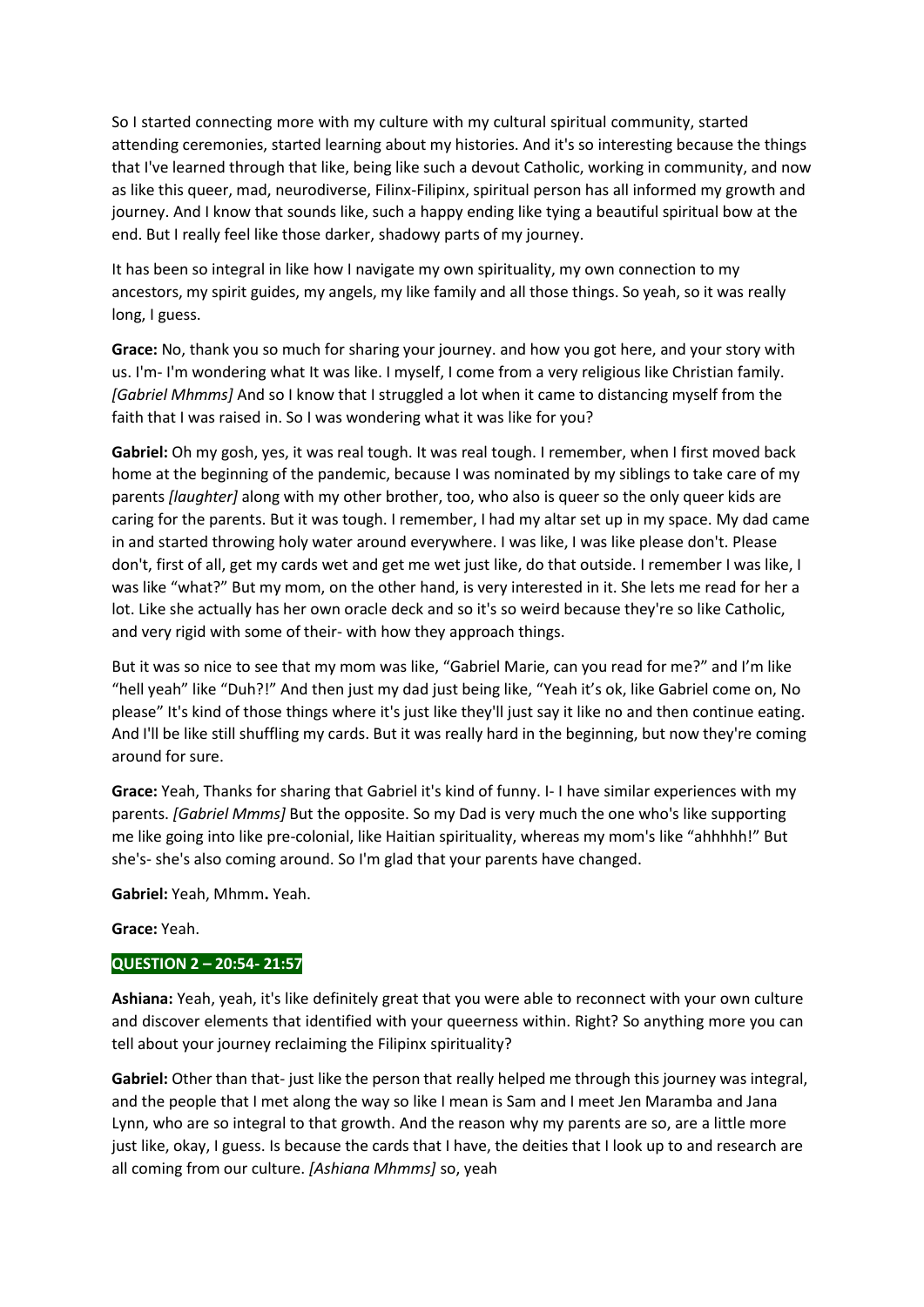So I started connecting more with my culture with my cultural spiritual community, started attending ceremonies, started learning about my histories. And it's so interesting because the things that I've learned through that like, being like such a devout Catholic, working in community, and now as like this queer, mad, neurodiverse, Filinx-Filipinx, spiritual person has all informed my growth and journey. And I know that sounds like, such a happy ending like tying a beautiful spiritual bow at the end. But I really feel like those darker, shadowy parts of my journey.

It has been so integral in like how I navigate my own spirituality, my own connection to my ancestors, my spirit guides, my angels, my like family and all those things. So yeah, so it was really long, I guess.

**Grace:** No, thank you so much for sharing your journey. and how you got here, and your story with us. I'm- I'm wondering what It was like. I myself, I come from a very religious like Christian family. *[Gabriel Mhmms]* And so I know that I struggled a lot when it came to distancing myself from the faith that I was raised in. So I was wondering what it was like for you?

**Gabriel:** Oh my gosh, yes, it was real tough. It was real tough. I remember, when I first moved back home at the beginning of the pandemic, because I was nominated by my siblings to take care of my parents *[laughter]* along with my other brother, too, who also is queer so the only queer kids are caring for the parents. But it was tough. I remember, I had my altar set up in my space. My dad came in and started throwing holy water around everywhere. I was like, I was like please don't. Please don't, first of all, get my cards wet and get me wet just like, do that outside. I remember I was like, I was like "what?" But my mom, on the other hand, is very interested in it. She lets me read for her a lot. Like she actually has her own oracle deck and so it's so weird because they're so like Catholic, and very rigid with some of their- with how they approach things.

But it was so nice to see that my mom was like, "Gabriel Marie, can you read for me?" and I'm like "hell yeah" like "Duh?!" And then just my dad just being like, "Yeah it's ok, like Gabriel come on, No please" It's kind of those things where it's just like they'll just say it like no and then continue eating. And I'll be like still shuffling my cards. But it was really hard in the beginning, but now they're coming around for sure.

**Grace:** Yeah, Thanks for sharing that Gabriel it's kind of funny. I- I have similar experiences with my parents. *[Gabriel Mmms]* But the opposite. So my Dad is very much the one who's like supporting me like going into like pre-colonial, like Haitian spirituality, whereas my mom's like "ahhhhh!" But she's- she's also coming around. So I'm glad that your parents have changed.

**Gabriel:** Yeah, Mhmm**.** Yeah.

# **Grace:** Yeah.

# **QUESTION 2 – 20:54- 21:57**

**Ashiana:** Yeah, yeah, it's like definitely great that you were able to reconnect with your own culture and discover elements that identified with your queerness within. Right? So anything more you can tell about your journey reclaiming the Filipinx spirituality?

**Gabriel:** Other than that- just like the person that really helped me through this journey was integral, and the people that I met along the way so like I mean is Sam and I meet Jen Maramba and Jana Lynn, who are so integral to that growth. And the reason why my parents are so, are a little more just like, okay, I guess. Is because the cards that I have, the deities that I look up to and research are all coming from our culture. *[Ashiana Mhmms]* so, yeah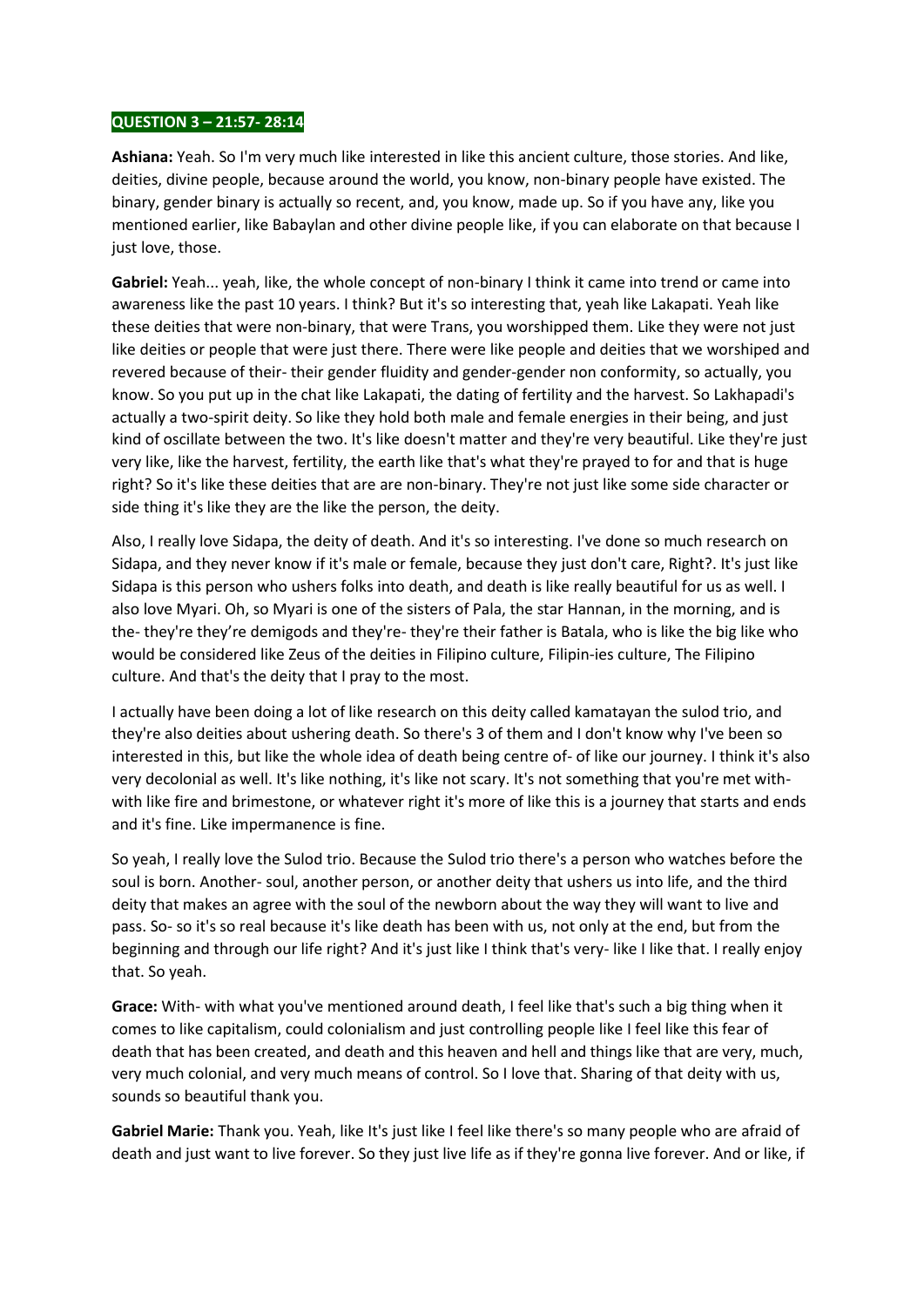## **QUESTION 3 – 21:57- 28:14**

**Ashiana:** Yeah. So I'm very much like interested in like this ancient culture, those stories. And like, deities, divine people, because around the world, you know, non-binary people have existed. The binary, gender binary is actually so recent, and, you know, made up. So if you have any, like you mentioned earlier, like Babaylan and other divine people like, if you can elaborate on that because I just love, those.

**Gabriel:** Yeah... yeah, like, the whole concept of non-binary I think it came into trend or came into awareness like the past 10 years. I think? But it's so interesting that, yeah like Lakapati. Yeah like these deities that were non-binary, that were Trans, you worshipped them. Like they were not just like deities or people that were just there. There were like people and deities that we worshiped and revered because of their- their gender fluidity and gender-gender non conformity, so actually, you know. So you put up in the chat like Lakapati, the dating of fertility and the harvest. So Lakhapadi's actually a two-spirit deity. So like they hold both male and female energies in their being, and just kind of oscillate between the two. It's like doesn't matter and they're very beautiful. Like they're just very like, like the harvest, fertility, the earth like that's what they're prayed to for and that is huge right? So it's like these deities that are are non-binary. They're not just like some side character or side thing it's like they are the like the person, the deity.

Also, I really love Sidapa, the deity of death. And it's so interesting. I've done so much research on Sidapa, and they never know if it's male or female, because they just don't care, Right?. It's just like Sidapa is this person who ushers folks into death, and death is like really beautiful for us as well. I also love Myari. Oh, so Myari is one of the sisters of Pala, the star Hannan, in the morning, and is the- they're they're demigods and they're- they're their father is Batala, who is like the big like who would be considered like Zeus of the deities in Filipino culture, Filipin-ies culture, The Filipino culture. And that's the deity that I pray to the most.

I actually have been doing a lot of like research on this deity called kamatayan the sulod trio, and they're also deities about ushering death. So there's 3 of them and I don't know why I've been so interested in this, but like the whole idea of death being centre of- of like our journey. I think it's also very decolonial as well. It's like nothing, it's like not scary. It's not something that you're met withwith like fire and brimestone, or whatever right it's more of like this is a journey that starts and ends and it's fine. Like impermanence is fine.

So yeah, I really love the Sulod trio. Because the Sulod trio there's a person who watches before the soul is born. Another- soul, another person, or another deity that ushers us into life, and the third deity that makes an agree with the soul of the newborn about the way they will want to live and pass. So- so it's so real because it's like death has been with us, not only at the end, but from the beginning and through our life right? And it's just like I think that's very- like I like that. I really enjoy that. So yeah.

**Grace:** With- with what you've mentioned around death, I feel like that's such a big thing when it comes to like capitalism, could colonialism and just controlling people like I feel like this fear of death that has been created, and death and this heaven and hell and things like that are very, much, very much colonial, and very much means of control. So I love that. Sharing of that deity with us, sounds so beautiful thank you.

**Gabriel Marie:** Thank you. Yeah, like It's just like I feel like there's so many people who are afraid of death and just want to live forever. So they just live life as if they're gonna live forever. And or like, if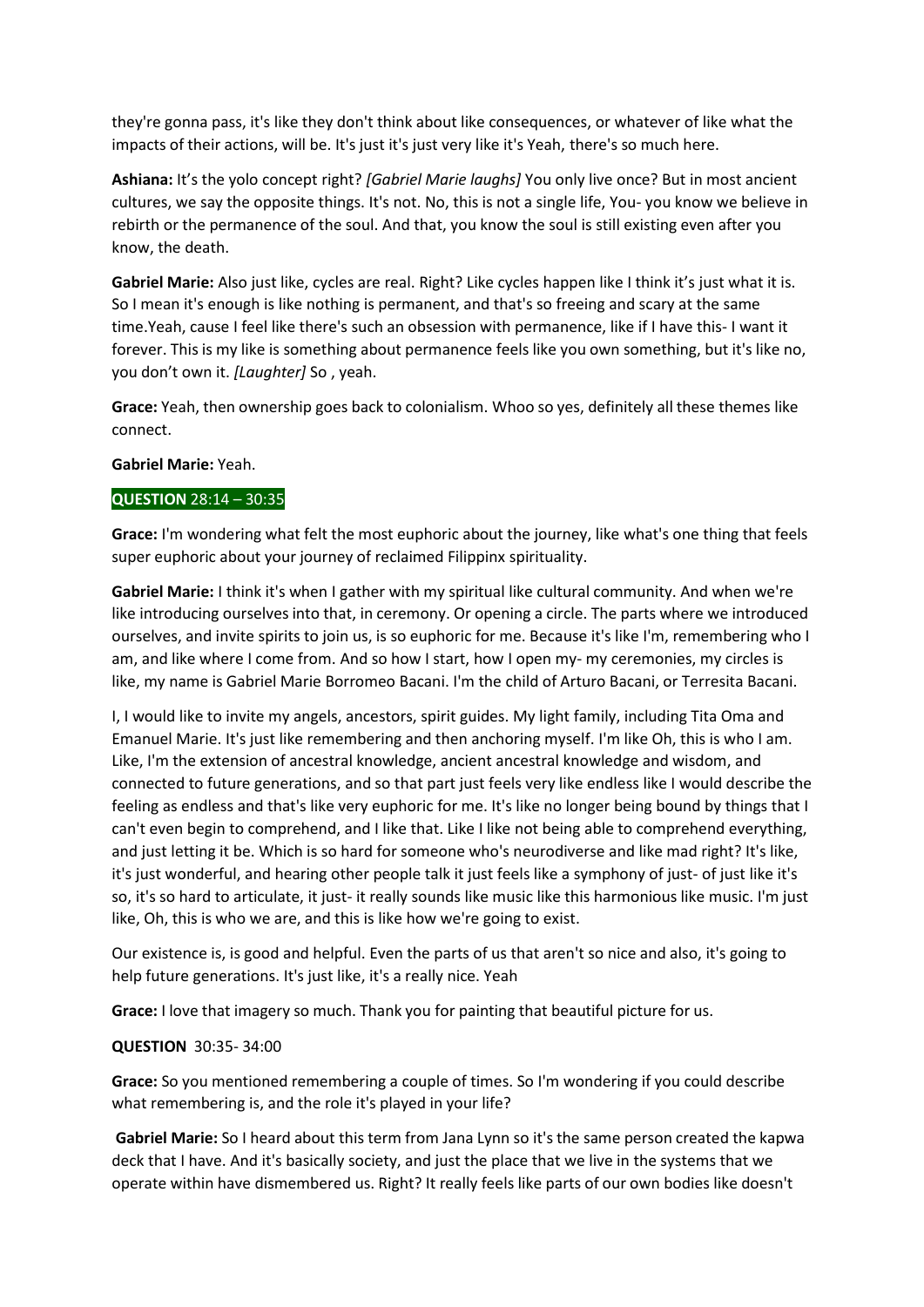they're gonna pass, it's like they don't think about like consequences, or whatever of like what the impacts of their actions, will be. It's just it's just very like it's Yeah, there's so much here.

**Ashiana:** It's the yolo concept right? *[Gabriel Marie laughs]* You only live once? But in most ancient cultures, we say the opposite things. It's not. No, this is not a single life, You- you know we believe in rebirth or the permanence of the soul. And that, you know the soul is still existing even after you know, the death.

**Gabriel Marie:** Also just like, cycles are real. Right? Like cycles happen like I think it's just what it is. So I mean it's enough is like nothing is permanent, and that's so freeing and scary at the same time.Yeah, cause I feel like there's such an obsession with permanence, like if I have this- I want it forever. This is my like is something about permanence feels like you own something, but it's like no, you don't own it. *[Laughter]* So , yeah.

**Grace:** Yeah, then ownership goes back to colonialism. Whoo so yes, definitely all these themes like connect.

### **Gabriel Marie:** Yeah.

## **QUESTION** 28:14 – 30:35

**Grace:** I'm wondering what felt the most euphoric about the journey, like what's one thing that feels super euphoric about your journey of reclaimed Filippinx spirituality.

**Gabriel Marie:** I think it's when I gather with my spiritual like cultural community. And when we're like introducing ourselves into that, in ceremony. Or opening a circle. The parts where we introduced ourselves, and invite spirits to join us, is so euphoric for me. Because it's like I'm, remembering who I am, and like where I come from. And so how I start, how I open my- my ceremonies, my circles is like, my name is Gabriel Marie Borromeo Bacani. I'm the child of Arturo Bacani, or Terresita Bacani.

I, I would like to invite my angels, ancestors, spirit guides. My light family, including Tita Oma and Emanuel Marie. It's just like remembering and then anchoring myself. I'm like Oh, this is who I am. Like, I'm the extension of ancestral knowledge, ancient ancestral knowledge and wisdom, and connected to future generations, and so that part just feels very like endless like I would describe the feeling as endless and that's like very euphoric for me. It's like no longer being bound by things that I can't even begin to comprehend, and I like that. Like I like not being able to comprehend everything, and just letting it be. Which is so hard for someone who's neurodiverse and like mad right? It's like, it's just wonderful, and hearing other people talk it just feels like a symphony of just- of just like it's so, it's so hard to articulate, it just- it really sounds like music like this harmonious like music. I'm just like, Oh, this is who we are, and this is like how we're going to exist.

Our existence is, is good and helpful. Even the parts of us that aren't so nice and also, it's going to help future generations. It's just like, it's a really nice. Yeah

**Grace:** I love that imagery so much. Thank you for painting that beautiful picture for us.

## **QUESTION** 30:35- 34:00

**Grace:** So you mentioned remembering a couple of times. So I'm wondering if you could describe what remembering is, and the role it's played in your life?

**Gabriel Marie:** So I heard about this term from Jana Lynn so it's the same person created the kapwa deck that I have. And it's basically society, and just the place that we live in the systems that we operate within have dismembered us. Right? It really feels like parts of our own bodies like doesn't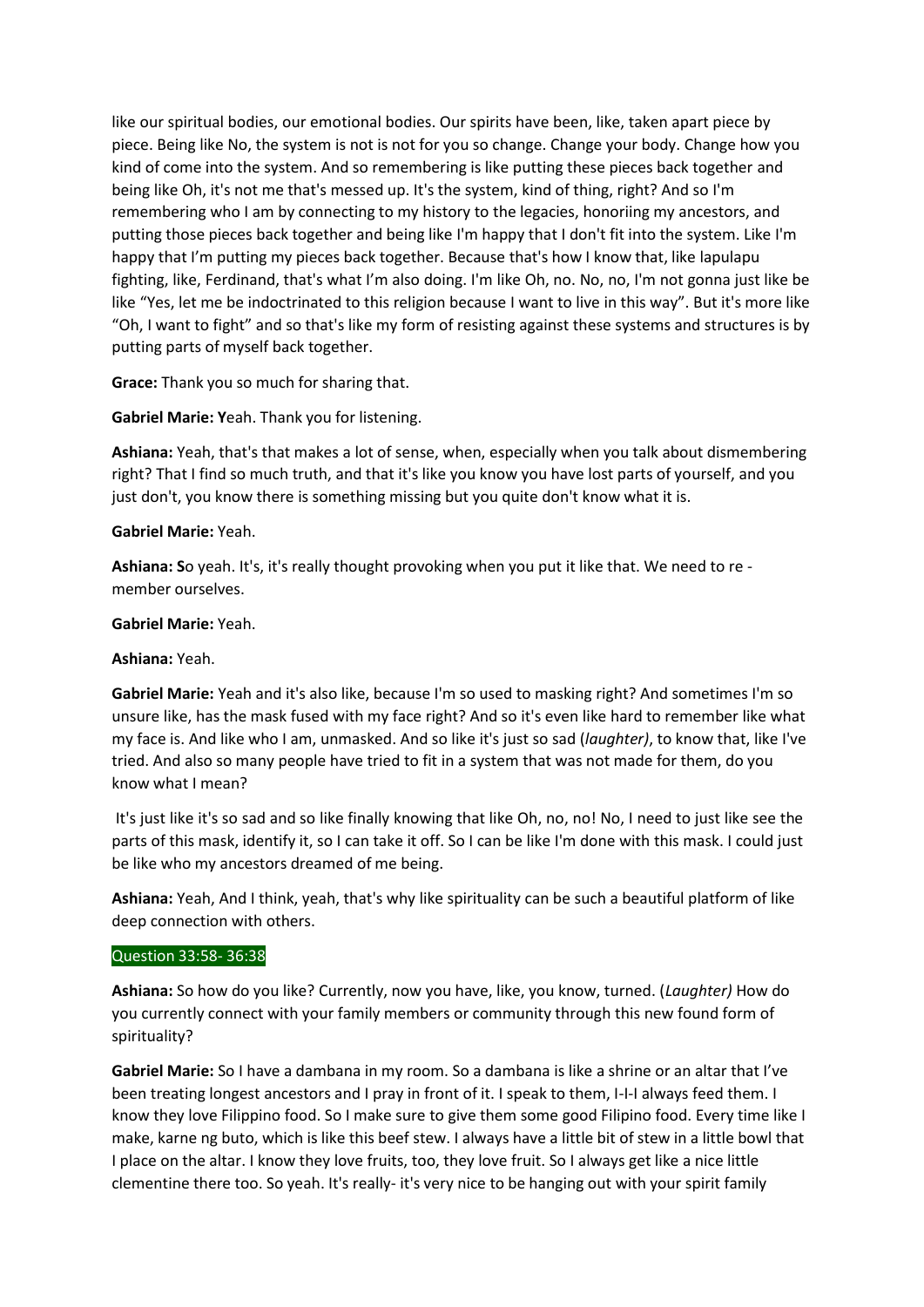like our spiritual bodies, our emotional bodies. Our spirits have been, like, taken apart piece by piece. Being like No, the system is not is not for you so change. Change your body. Change how you kind of come into the system. And so remembering is like putting these pieces back together and being like Oh, it's not me that's messed up. It's the system, kind of thing, right? And so I'm remembering who I am by connecting to my history to the legacies, honoriing my ancestors, and putting those pieces back together and being like I'm happy that I don't fit into the system. Like I'm happy that I'm putting my pieces back together. Because that's how I know that, like lapulapu fighting, like, Ferdinand, that's what I'm also doing. I'm like Oh, no. No, no, I'm not gonna just like be like "Yes, let me be indoctrinated to this religion because I want to live in this way". But it's more like "Oh, I want to fight" and so that's like my form of resisting against these systems and structures is by putting parts of myself back together.

**Grace:** Thank you so much for sharing that.

**Gabriel Marie: Y**eah. Thank you for listening.

**Ashiana:** Yeah, that's that makes a lot of sense, when, especially when you talk about dismembering right? That I find so much truth, and that it's like you know you have lost parts of yourself, and you just don't, you know there is something missing but you quite don't know what it is.

## **Gabriel Marie:** Yeah.

**Ashiana: S**o yeah. It's, it's really thought provoking when you put it like that. We need to re member ourselves.

## **Gabriel Marie:** Yeah.

## **Ashiana:** Yeah.

**Gabriel Marie:** Yeah and it's also like, because I'm so used to masking right? And sometimes I'm so unsure like, has the mask fused with my face right? And so it's even like hard to remember like what my face is. And like who I am, unmasked. And so like it's just so sad (*laughter)*, to know that, like I've tried. And also so many people have tried to fit in a system that was not made for them, do you know what I mean?

It's just like it's so sad and so like finally knowing that like Oh, no, no! No, I need to just like see the parts of this mask, identify it, so I can take it off. So I can be like I'm done with this mask. I could just be like who my ancestors dreamed of me being.

**Ashiana:** Yeah, And I think, yeah, that's why like spirituality can be such a beautiful platform of like deep connection with others.

## Question 33:58- 36:38

**Ashiana:** So how do you like? Currently, now you have, like, you know, turned. (*Laughter)* How do you currently connect with your family members or community through this new found form of spirituality?

**Gabriel Marie:** So I have a dambana in my room. So a dambana is like a shrine or an altar that I've been treating longest ancestors and I pray in front of it. I speak to them, I-I-I always feed them. I know they love Filippino food. So I make sure to give them some good Filipino food. Every time like I make, karne ng buto, which is like this beef stew. I always have a little bit of stew in a little bowl that I place on the altar. I know they love fruits, too, they love fruit. So I always get like a nice little clementine there too. So yeah. It's really- it's very nice to be hanging out with your spirit family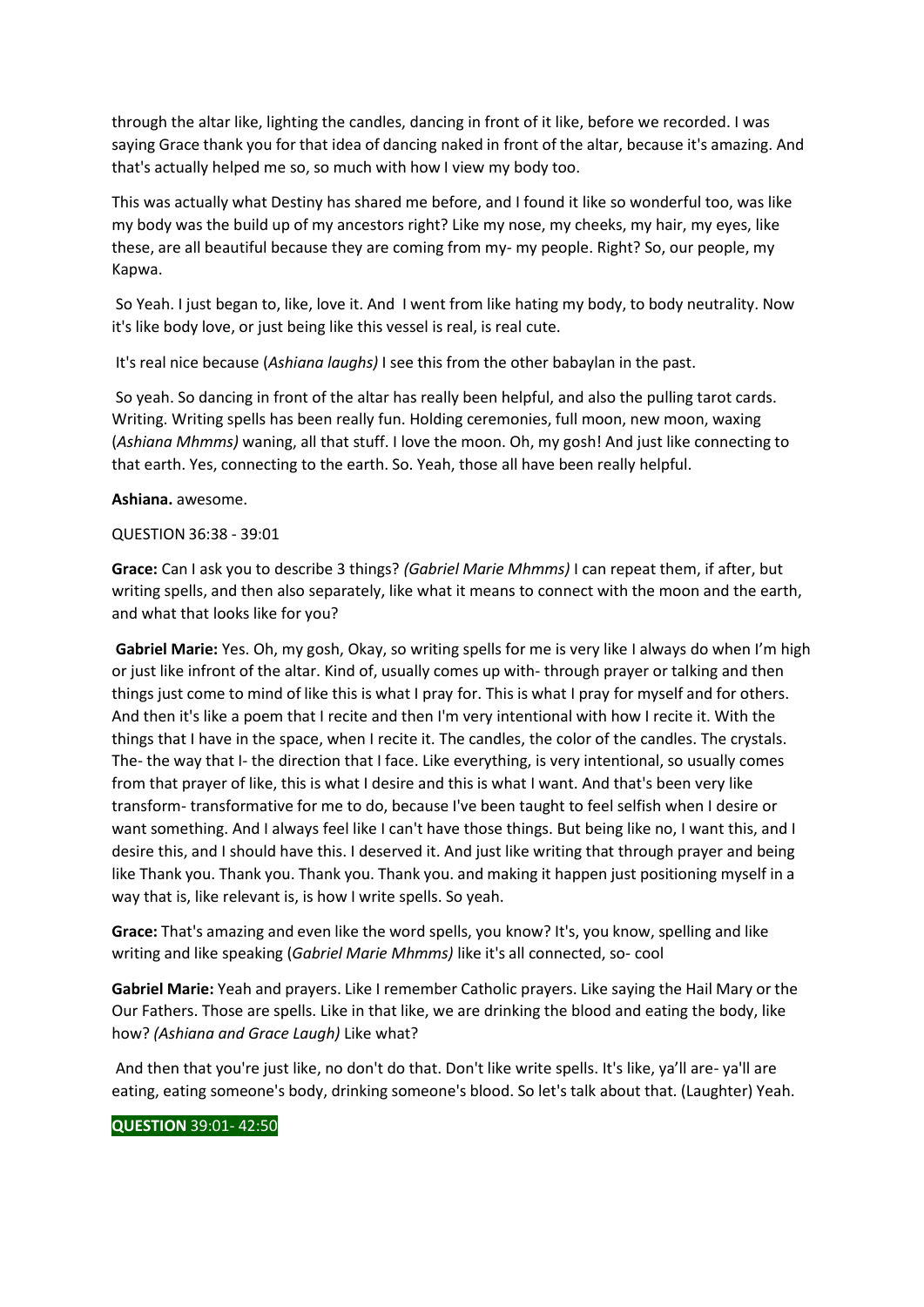through the altar like, lighting the candles, dancing in front of it like, before we recorded. I was saying Grace thank you for that idea of dancing naked in front of the altar, because it's amazing. And that's actually helped me so, so much with how I view my body too.

This was actually what Destiny has shared me before, and I found it like so wonderful too, was like my body was the build up of my ancestors right? Like my nose, my cheeks, my hair, my eyes, like these, are all beautiful because they are coming from my- my people. Right? So, our people, my Kapwa.

So Yeah. I just began to, like, love it. And I went from like hating my body, to body neutrality. Now it's like body love, or just being like this vessel is real, is real cute.

It's real nice because (*Ashiana laughs)* I see this from the other babaylan in the past.

So yeah. So dancing in front of the altar has really been helpful, and also the pulling tarot cards. Writing. Writing spells has been really fun. Holding ceremonies, full moon, new moon, waxing (*Ashiana Mhmms)* waning, all that stuff. I love the moon. Oh, my gosh! And just like connecting to that earth. Yes, connecting to the earth. So. Yeah, those all have been really helpful.

### **Ashiana.** awesome.

### QUESTION 36:38 - 39:01

**Grace:** Can I ask you to describe 3 things? *(Gabriel Marie Mhmms)* I can repeat them, if after, but writing spells, and then also separately, like what it means to connect with the moon and the earth, and what that looks like for you?

**Gabriel Marie:** Yes. Oh, my gosh, Okay, so writing spells for me is very like I always do when I'm high or just like infront of the altar. Kind of, usually comes up with- through prayer or talking and then things just come to mind of like this is what I pray for. This is what I pray for myself and for others. And then it's like a poem that I recite and then I'm very intentional with how I recite it. With the things that I have in the space, when I recite it. The candles, the color of the candles. The crystals. The- the way that I- the direction that I face. Like everything, is very intentional, so usually comes from that prayer of like, this is what I desire and this is what I want. And that's been very like transform- transformative for me to do, because I've been taught to feel selfish when I desire or want something. And I always feel like I can't have those things. But being like no, I want this, and I desire this, and I should have this. I deserved it. And just like writing that through prayer and being like Thank you. Thank you. Thank you. Thank you. and making it happen just positioning myself in a way that is, like relevant is, is how I write spells. So yeah.

**Grace:** That's amazing and even like the word spells, you know? It's, you know, spelling and like writing and like speaking (*Gabriel Marie Mhmms)* like it's all connected, so- cool

**Gabriel Marie:** Yeah and prayers. Like I remember Catholic prayers. Like saying the Hail Mary or the Our Fathers. Those are spells. Like in that like, we are drinking the blood and eating the body, like how? *(Ashiana and Grace Laugh)* Like what?

And then that you're just like, no don't do that. Don't like write spells. It's like, ya'll are- ya'll are eating, eating someone's body, drinking someone's blood. So let's talk about that. (Laughter) Yeah.

## **QUESTION** 39:01- 42:50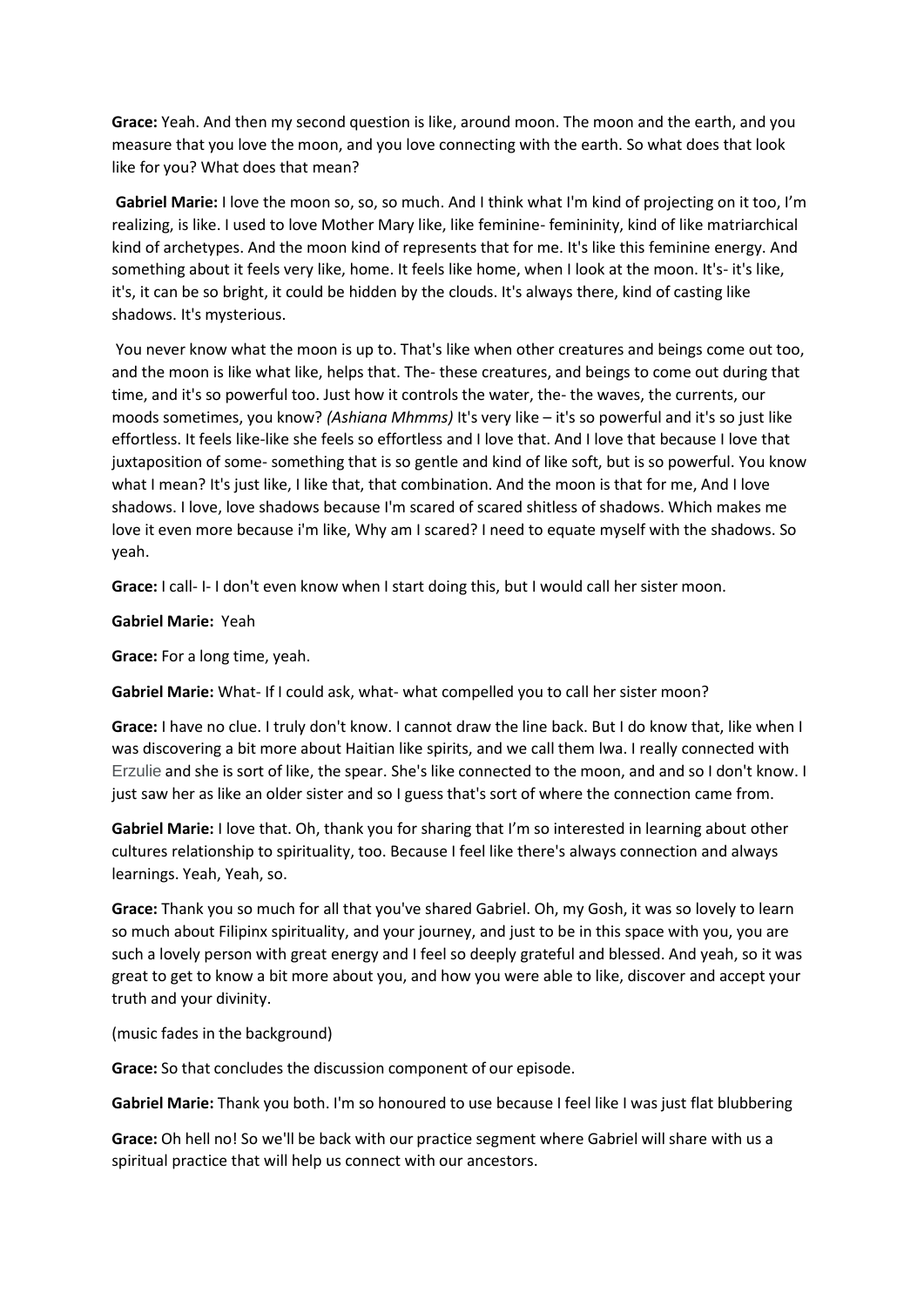**Grace:** Yeah. And then my second question is like, around moon. The moon and the earth, and you measure that you love the moon, and you love connecting with the earth. So what does that look like for you? What does that mean?

**Gabriel Marie:** I love the moon so, so, so much. And I think what I'm kind of projecting on it too, I'm realizing, is like. I used to love Mother Mary like, like feminine- femininity, kind of like matriarchical kind of archetypes. And the moon kind of represents that for me. It's like this feminine energy. And something about it feels very like, home. It feels like home, when I look at the moon. It's- it's like, it's, it can be so bright, it could be hidden by the clouds. It's always there, kind of casting like shadows. It's mysterious.

You never know what the moon is up to. That's like when other creatures and beings come out too, and the moon is like what like, helps that. The- these creatures, and beings to come out during that time, and it's so powerful too. Just how it controls the water, the- the waves, the currents, our moods sometimes, you know? *(Ashiana Mhmms)* It's very like – it's so powerful and it's so just like effortless. It feels like-like she feels so effortless and I love that. And I love that because I love that juxtaposition of some- something that is so gentle and kind of like soft, but is so powerful. You know what I mean? It's just like, I like that, that combination. And the moon is that for me, And I love shadows. I love, love shadows because I'm scared of scared shitless of shadows. Which makes me love it even more because i'm like, Why am I scared? I need to equate myself with the shadows. So yeah.

**Grace:** I call- I- I don't even know when I start doing this, but I would call her sister moon.

**Gabriel Marie:** Yeah

**Grace:** For a long time, yeah.

**Gabriel Marie:** What- If I could ask, what- what compelled you to call her sister moon?

**Grace:** I have no clue. I truly don't know. I cannot draw the line back. But I do know that, like when I was discovering a bit more about Haitian like spirits, and we call them lwa. I really connected with Erzulie and she is sort of like, the spear. She's like connected to the moon, and and so I don't know. I just saw her as like an older sister and so I guess that's sort of where the connection came from.

**Gabriel Marie:** I love that. Oh, thank you for sharing that I'm so interested in learning about other cultures relationship to spirituality, too. Because I feel like there's always connection and always learnings. Yeah, Yeah, so.

**Grace:** Thank you so much for all that you've shared Gabriel. Oh, my Gosh, it was so lovely to learn so much about Filipinx spirituality, and your journey, and just to be in this space with you, you are such a lovely person with great energy and I feel so deeply grateful and blessed. And yeah, so it was great to get to know a bit more about you, and how you were able to like, discover and accept your truth and your divinity.

(music fades in the background)

**Grace:** So that concludes the discussion component of our episode.

**Gabriel Marie:** Thank you both. I'm so honoured to use because I feel like I was just flat blubbering

**Grace:** Oh hell no! So we'll be back with our practice segment where Gabriel will share with us a spiritual practice that will help us connect with our ancestors.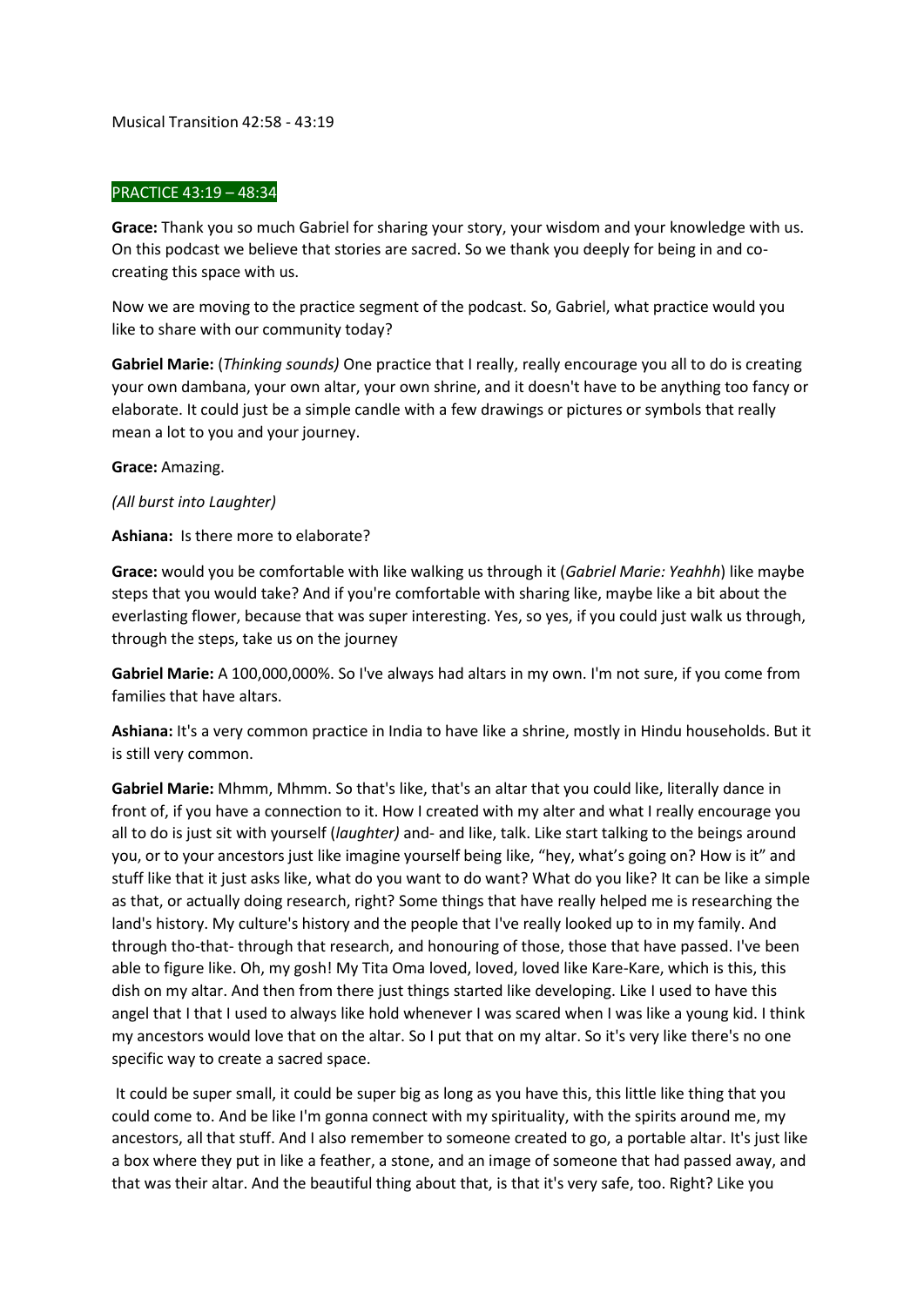Musical Transition 42:58 - 43:19

## PRACTICE 43:19 – 48:34

**Grace:** Thank you so much Gabriel for sharing your story, your wisdom and your knowledge with us. On this podcast we believe that stories are sacred. So we thank you deeply for being in and cocreating this space with us.

Now we are moving to the practice segment of the podcast. So, Gabriel, what practice would you like to share with our community today?

**Gabriel Marie:** (*Thinking sounds)* One practice that I really, really encourage you all to do is creating your own dambana, your own altar, your own shrine, and it doesn't have to be anything too fancy or elaborate. It could just be a simple candle with a few drawings or pictures or symbols that really mean a lot to you and your journey.

## **Grace:** Amazing.

*(All burst into Laughter)*

**Ashiana:** Is there more to elaborate?

**Grace:** would you be comfortable with like walking us through it (*Gabriel Marie: Yeahhh*) like maybe steps that you would take? And if you're comfortable with sharing like, maybe like a bit about the everlasting flower, because that was super interesting. Yes, so yes, if you could just walk us through, through the steps, take us on the journey

**Gabriel Marie:** A 100,000,000%. So I've always had altars in my own. I'm not sure, if you come from families that have altars.

**Ashiana:** It's a very common practice in India to have like a shrine, mostly in Hindu households. But it is still very common.

**Gabriel Marie:** Mhmm, Mhmm. So that's like, that's an altar that you could like, literally dance in front of, if you have a connection to it. How I created with my alter and what I really encourage you all to do is just sit with yourself (*laughter)* and- and like, talk. Like start talking to the beings around you, or to your ancestors just like imagine yourself being like, "hey, what's going on? How is it" and stuff like that it just asks like, what do you want to do want? What do you like? It can be like a simple as that, or actually doing research, right? Some things that have really helped me is researching the land's history. My culture's history and the people that I've really looked up to in my family. And through tho-that- through that research, and honouring of those, those that have passed. I've been able to figure like. Oh, my gosh! My Tita Oma loved, loved, loved like Kare-Kare, which is this, this dish on my altar. And then from there just things started like developing. Like I used to have this angel that I that I used to always like hold whenever I was scared when I was like a young kid. I think my ancestors would love that on the altar. So I put that on my altar. So it's very like there's no one specific way to create a sacred space.

It could be super small, it could be super big as long as you have this, this little like thing that you could come to. And be like I'm gonna connect with my spirituality, with the spirits around me, my ancestors, all that stuff. And I also remember to someone created to go, a portable altar. It's just like a box where they put in like a feather, a stone, and an image of someone that had passed away, and that was their altar. And the beautiful thing about that, is that it's very safe, too. Right? Like you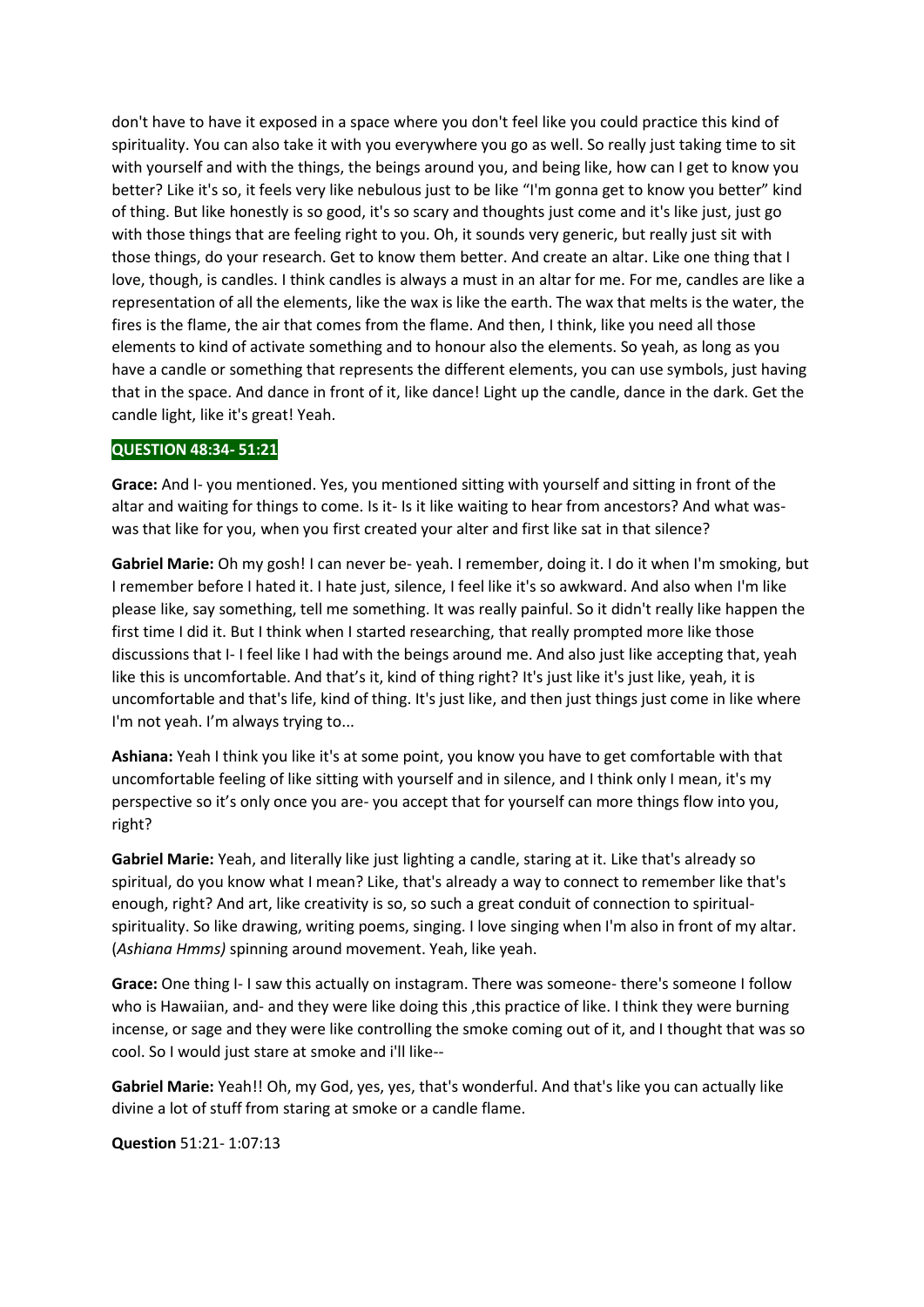don't have to have it exposed in a space where you don't feel like you could practice this kind of spirituality. You can also take it with you everywhere you go as well. So really just taking time to sit with yourself and with the things, the beings around you, and being like, how can I get to know you better? Like it's so, it feels very like nebulous just to be like "I'm gonna get to know you better" kind of thing. But like honestly is so good, it's so scary and thoughts just come and it's like just, just go with those things that are feeling right to you. Oh, it sounds very generic, but really just sit with those things, do your research. Get to know them better. And create an altar. Like one thing that I love, though, is candles. I think candles is always a must in an altar for me. For me, candles are like a representation of all the elements, like the wax is like the earth. The wax that melts is the water, the fires is the flame, the air that comes from the flame. And then, I think, like you need all those elements to kind of activate something and to honour also the elements. So yeah, as long as you have a candle or something that represents the different elements, you can use symbols, just having that in the space. And dance in front of it, like dance! Light up the candle, dance in the dark. Get the candle light, like it's great! Yeah.

## **QUESTION 48:34- 51:21**

**Grace:** And I- you mentioned. Yes, you mentioned sitting with yourself and sitting in front of the altar and waiting for things to come. Is it- Is it like waiting to hear from ancestors? And what waswas that like for you, when you first created your alter and first like sat in that silence?

**Gabriel Marie:** Oh my gosh! I can never be- yeah. I remember, doing it. I do it when I'm smoking, but I remember before I hated it. I hate just, silence, I feel like it's so awkward. And also when I'm like please like, say something, tell me something. It was really painful. So it didn't really like happen the first time I did it. But I think when I started researching, that really prompted more like those discussions that I- I feel like I had with the beings around me. And also just like accepting that, yeah like this is uncomfortable. And that's it, kind of thing right? It's just like it's just like, yeah, it is uncomfortable and that's life, kind of thing. It's just like, and then just things just come in like where I'm not yeah. I'm always trying to...

**Ashiana:** Yeah I think you like it's at some point, you know you have to get comfortable with that uncomfortable feeling of like sitting with yourself and in silence, and I think only I mean, it's my perspective so it's only once you are- you accept that for yourself can more things flow into you, right?

**Gabriel Marie:** Yeah, and literally like just lighting a candle, staring at it. Like that's already so spiritual, do you know what I mean? Like, that's already a way to connect to remember like that's enough, right? And art, like creativity is so, so such a great conduit of connection to spiritualspirituality. So like drawing, writing poems, singing. I love singing when I'm also in front of my altar. (*Ashiana Hmms)* spinning around movement. Yeah, like yeah.

**Grace:** One thing I- I saw this actually on instagram. There was someone- there's someone I follow who is Hawaiian, and- and they were like doing this, this practice of like. I think they were burning incense, or sage and they were like controlling the smoke coming out of it, and I thought that was so cool. So I would just stare at smoke and i'll like--

**Gabriel Marie:** Yeah!! Oh, my God, yes, yes, that's wonderful. And that's like you can actually like divine a lot of stuff from staring at smoke or a candle flame.

**Question** 51:21- 1:07:13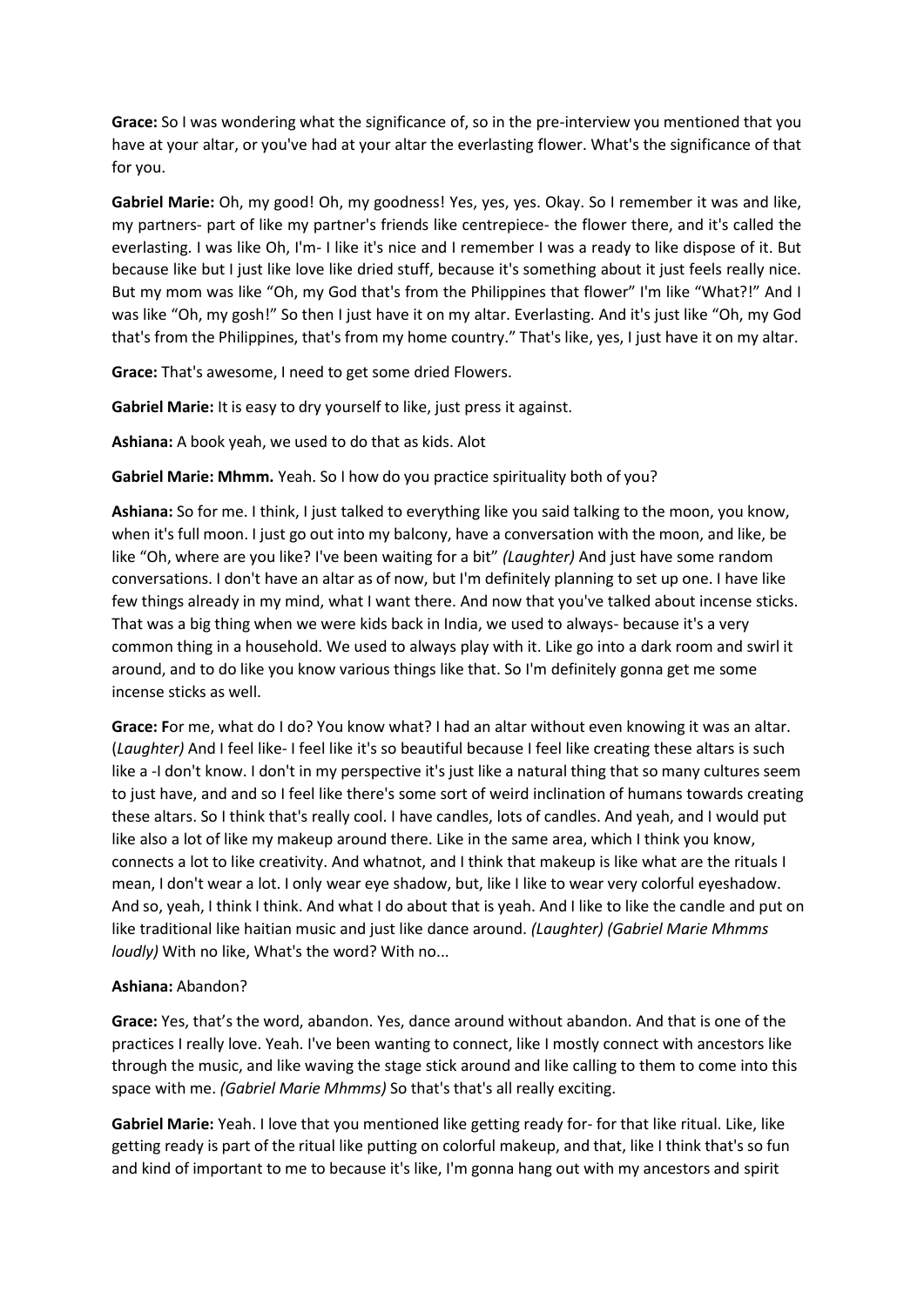**Grace:** So I was wondering what the significance of, so in the pre-interview you mentioned that you have at your altar, or you've had at your altar the everlasting flower. What's the significance of that for you.

**Gabriel Marie:** Oh, my good! Oh, my goodness! Yes, yes, yes. Okay. So I remember it was and like, my partners- part of like my partner's friends like centrepiece- the flower there, and it's called the everlasting. I was like Oh, I'm- I like it's nice and I remember I was a ready to like dispose of it. But because like but I just like love like dried stuff, because it's something about it just feels really nice. But my mom was like "Oh, my God that's from the Philippines that flower" I'm like "What?!" And I was like "Oh, my gosh!" So then I just have it on my altar. Everlasting. And it's just like "Oh, my God that's from the Philippines, that's from my home country." That's like, yes, I just have it on my altar.

**Grace:** That's awesome, I need to get some dried Flowers.

**Gabriel Marie:** It is easy to dry yourself to like, just press it against.

**Ashiana:** A book yeah, we used to do that as kids. Alot

**Gabriel Marie: Mhmm.** Yeah. So I how do you practice spirituality both of you?

**Ashiana:** So for me. I think, I just talked to everything like you said talking to the moon, you know, when it's full moon. I just go out into my balcony, have a conversation with the moon, and like, be like "Oh, where are you like? I've been waiting for a bit" *(Laughter)* And just have some random conversations. I don't have an altar as of now, but I'm definitely planning to set up one. I have like few things already in my mind, what I want there. And now that you've talked about incense sticks. That was a big thing when we were kids back in India, we used to always- because it's a very common thing in a household. We used to always play with it. Like go into a dark room and swirl it around, and to do like you know various things like that. So I'm definitely gonna get me some incense sticks as well.

**Grace: F**or me, what do I do? You know what? I had an altar without even knowing it was an altar. (*Laughter)* And I feel like- I feel like it's so beautiful because I feel like creating these altars is such like a -I don't know. I don't in my perspective it's just like a natural thing that so many cultures seem to just have, and and so I feel like there's some sort of weird inclination of humans towards creating these altars. So I think that's really cool. I have candles, lots of candles. And yeah, and I would put like also a lot of like my makeup around there. Like in the same area, which I think you know, connects a lot to like creativity. And whatnot, and I think that makeup is like what are the rituals I mean, I don't wear a lot. I only wear eye shadow, but, like I like to wear very colorful eyeshadow. And so, yeah, I think I think. And what I do about that is yeah. And I like to like the candle and put on like traditional like haitian music and just like dance around. *(Laughter) (Gabriel Marie Mhmms loudly)* With no like, What's the word? With no...

## **Ashiana:** Abandon?

**Grace:** Yes, that's the word, abandon. Yes, dance around without abandon. And that is one of the practices I really love. Yeah. I've been wanting to connect, like I mostly connect with ancestors like through the music, and like waving the stage stick around and like calling to them to come into this space with me. *(Gabriel Marie Mhmms)* So that's that's all really exciting.

**Gabriel Marie:** Yeah. I love that you mentioned like getting ready for- for that like ritual. Like, like getting ready is part of the ritual like putting on colorful makeup, and that, like I think that's so fun and kind of important to me to because it's like, I'm gonna hang out with my ancestors and spirit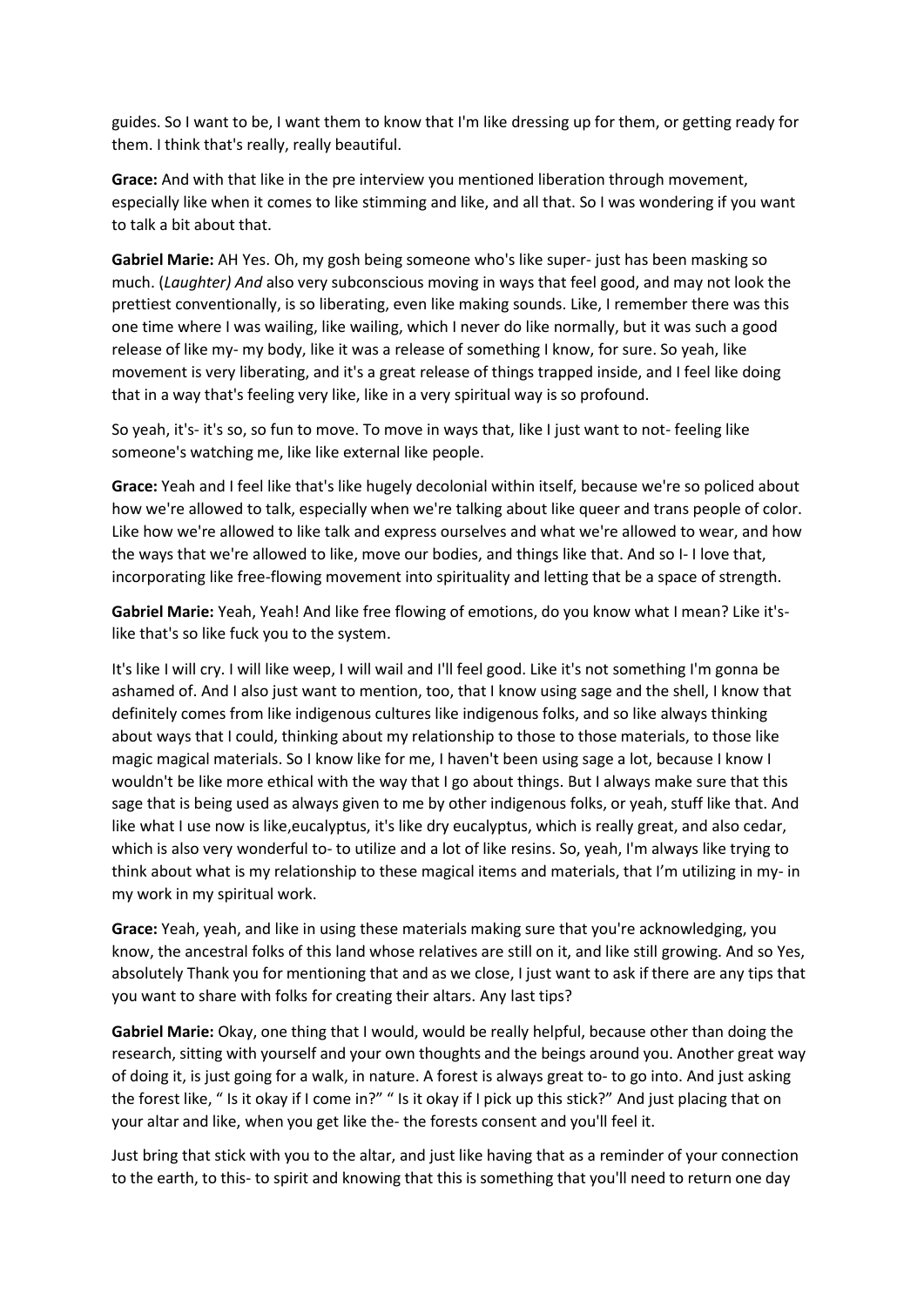guides. So I want to be, I want them to know that I'm like dressing up for them, or getting ready for them. I think that's really, really beautiful.

**Grace:** And with that like in the pre interview you mentioned liberation through movement, especially like when it comes to like stimming and like, and all that. So I was wondering if you want to talk a bit about that.

**Gabriel Marie:** AH Yes. Oh, my gosh being someone who's like super- just has been masking so much. (*Laughter) And* also very subconscious moving in ways that feel good, and may not look the prettiest conventionally, is so liberating, even like making sounds. Like, I remember there was this one time where I was wailing, like wailing, which I never do like normally, but it was such a good release of like my- my body, like it was a release of something I know, for sure. So yeah, like movement is very liberating, and it's a great release of things trapped inside, and I feel like doing that in a way that's feeling very like, like in a very spiritual way is so profound.

So yeah, it's- it's so, so fun to move. To move in ways that, like I just want to not- feeling like someone's watching me, like like external like people.

**Grace:** Yeah and I feel like that's like hugely decolonial within itself, because we're so policed about how we're allowed to talk, especially when we're talking about like queer and trans people of color. Like how we're allowed to like talk and express ourselves and what we're allowed to wear, and how the ways that we're allowed to like, move our bodies, and things like that. And so I- I love that, incorporating like free-flowing movement into spirituality and letting that be a space of strength.

Gabriel Marie: Yeah, Yeah! And like free flowing of emotions, do you know what I mean? Like it'slike that's so like fuck you to the system.

It's like I will cry. I will like weep, I will wail and I'll feel good. Like it's not something I'm gonna be ashamed of. And I also just want to mention, too, that I know using sage and the shell, I know that definitely comes from like indigenous cultures like indigenous folks, and so like always thinking about ways that I could, thinking about my relationship to those to those materials, to those like magic magical materials. So I know like for me, I haven't been using sage a lot, because I know I wouldn't be like more ethical with the way that I go about things. But I always make sure that this sage that is being used as always given to me by other indigenous folks, or yeah, stuff like that. And like what I use now is like,eucalyptus, it's like dry eucalyptus, which is really great, and also cedar, which is also very wonderful to- to utilize and a lot of like resins. So, yeah, I'm always like trying to think about what is my relationship to these magical items and materials, that I'm utilizing in my- in my work in my spiritual work.

**Grace:** Yeah, yeah, and like in using these materials making sure that you're acknowledging, you know, the ancestral folks of this land whose relatives are still on it, and like still growing. And so Yes, absolutely Thank you for mentioning that and as we close, I just want to ask if there are any tips that you want to share with folks for creating their altars. Any last tips?

**Gabriel Marie:** Okay, one thing that I would, would be really helpful, because other than doing the research, sitting with yourself and your own thoughts and the beings around you. Another great way of doing it, is just going for a walk, in nature. A forest is always great to- to go into. And just asking the forest like, " Is it okay if I come in?" " Is it okay if I pick up this stick?" And just placing that on your altar and like, when you get like the- the forests consent and you'll feel it.

Just bring that stick with you to the altar, and just like having that as a reminder of your connection to the earth, to this- to spirit and knowing that this is something that you'll need to return one day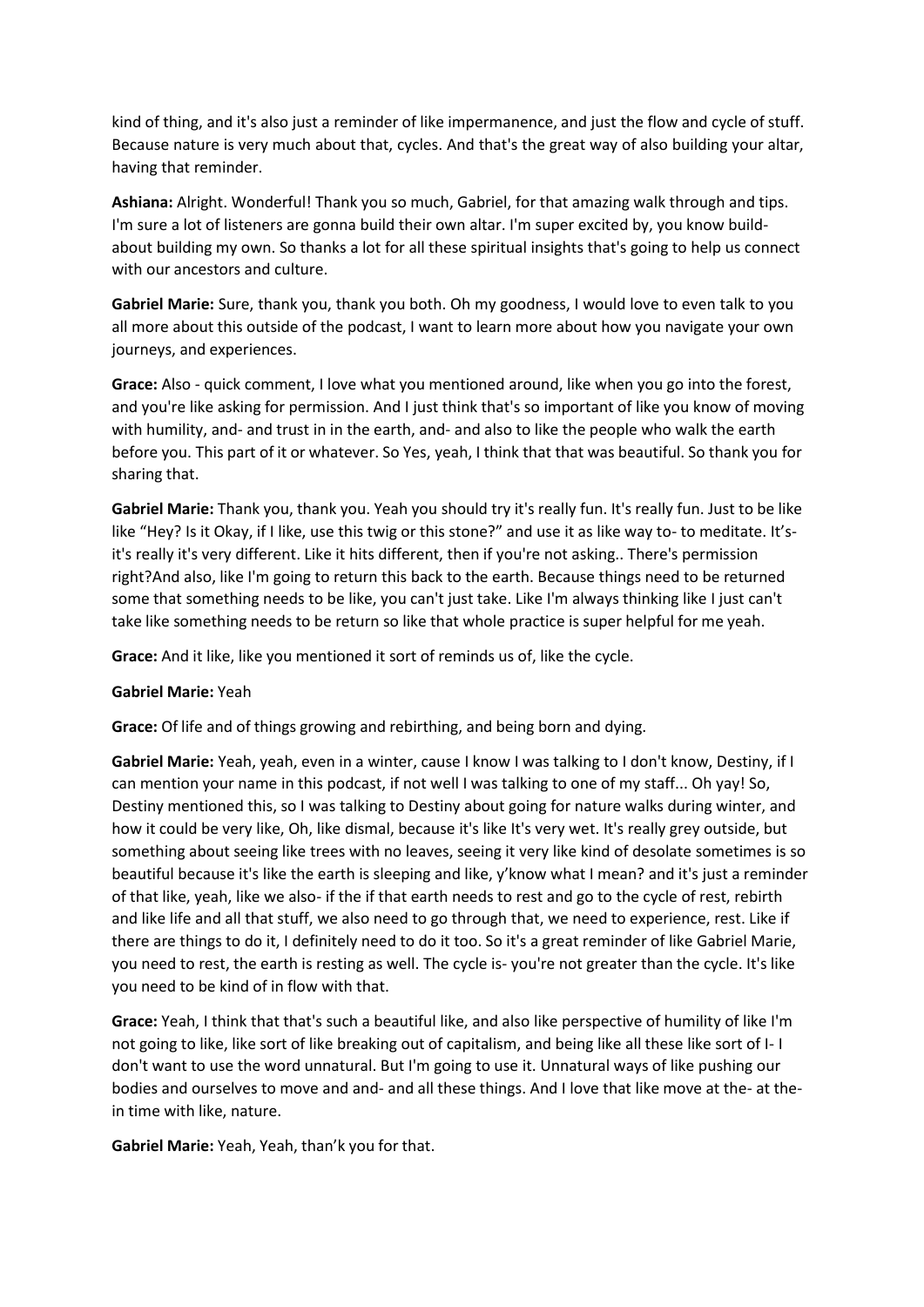kind of thing, and it's also just a reminder of like impermanence, and just the flow and cycle of stuff. Because nature is very much about that, cycles. And that's the great way of also building your altar, having that reminder.

**Ashiana:** Alright. Wonderful! Thank you so much, Gabriel, for that amazing walk through and tips. I'm sure a lot of listeners are gonna build their own altar. I'm super excited by, you know buildabout building my own. So thanks a lot for all these spiritual insights that's going to help us connect with our ancestors and culture.

**Gabriel Marie:** Sure, thank you, thank you both. Oh my goodness, I would love to even talk to you all more about this outside of the podcast, I want to learn more about how you navigate your own journeys, and experiences.

**Grace:** Also - quick comment, I love what you mentioned around, like when you go into the forest, and you're like asking for permission. And I just think that's so important of like you know of moving with humility, and- and trust in in the earth, and- and also to like the people who walk the earth before you. This part of it or whatever. So Yes, yeah, I think that that was beautiful. So thank you for sharing that.

**Gabriel Marie:** Thank you, thank you. Yeah you should try it's really fun. It's really fun. Just to be like like "Hey? Is it Okay, if I like, use this twig or this stone?" and use it as like way to- to meditate. It'sit's really it's very different. Like it hits different, then if you're not asking.. There's permission right?And also, like I'm going to return this back to the earth. Because things need to be returned some that something needs to be like, you can't just take. Like I'm always thinking like I just can't take like something needs to be return so like that whole practice is super helpful for me yeah.

**Grace:** And it like, like you mentioned it sort of reminds us of, like the cycle.

## **Gabriel Marie:** Yeah

**Grace:** Of life and of things growing and rebirthing, and being born and dying.

**Gabriel Marie:** Yeah, yeah, even in a winter, cause I know I was talking to I don't know, Destiny, if I can mention your name in this podcast, if not well I was talking to one of my staff... Oh yay! So, Destiny mentioned this, so I was talking to Destiny about going for nature walks during winter, and how it could be very like, Oh, like dismal, because it's like It's very wet. It's really grey outside, but something about seeing like trees with no leaves, seeing it very like kind of desolate sometimes is so beautiful because it's like the earth is sleeping and like, y'know what I mean? and it's just a reminder of that like, yeah, like we also- if the if that earth needs to rest and go to the cycle of rest, rebirth and like life and all that stuff, we also need to go through that, we need to experience, rest. Like if there are things to do it, I definitely need to do it too. So it's a great reminder of like Gabriel Marie, you need to rest, the earth is resting as well. The cycle is- you're not greater than the cycle. It's like you need to be kind of in flow with that.

**Grace:** Yeah, I think that that's such a beautiful like, and also like perspective of humility of like I'm not going to like, like sort of like breaking out of capitalism, and being like all these like sort of I- I don't want to use the word unnatural. But I'm going to use it. Unnatural ways of like pushing our bodies and ourselves to move and and- and all these things. And I love that like move at the- at thein time with like, nature.

**Gabriel Marie:** Yeah, Yeah, than'k you for that.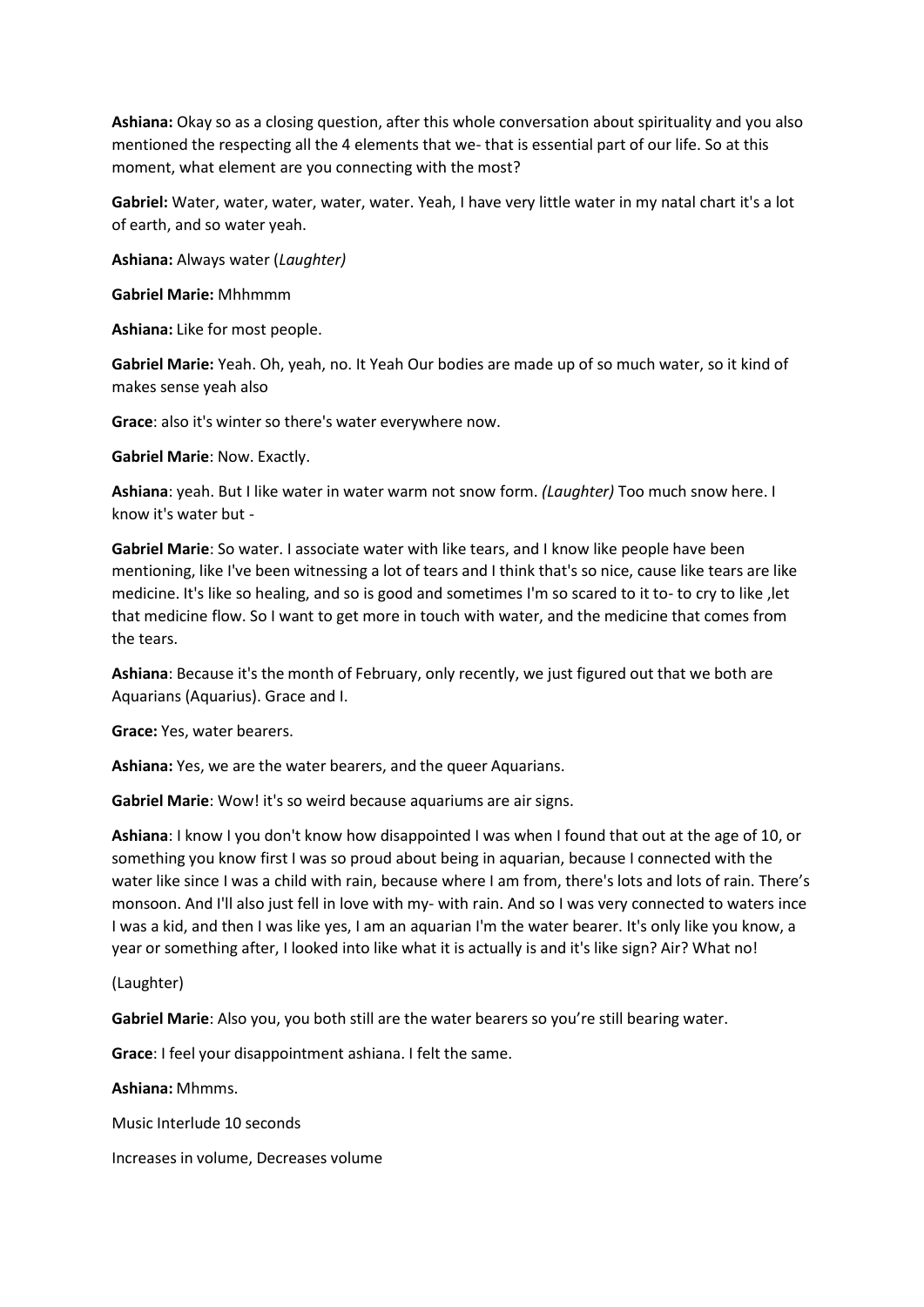**Ashiana:** Okay so as a closing question, after this whole conversation about spirituality and you also mentioned the respecting all the 4 elements that we- that is essential part of our life. So at this moment, what element are you connecting with the most?

**Gabriel:** Water, water, water, water, water. Yeah, I have very little water in my natal chart it's a lot of earth, and so water yeah.

**Ashiana:** Always water (*Laughter)*

**Gabriel Marie:** Mhhmmm

**Ashiana:** Like for most people.

**Gabriel Marie:** Yeah. Oh, yeah, no. It Yeah Our bodies are made up of so much water, so it kind of makes sense yeah also

**Grace**: also it's winter so there's water everywhere now.

**Gabriel Marie**: Now. Exactly.

**Ashiana**: yeah. But I like water in water warm not snow form. *(Laughter)* Too much snow here. I know it's water but -

**Gabriel Marie**: So water. I associate water with like tears, and I know like people have been mentioning, like I've been witnessing a lot of tears and I think that's so nice, cause like tears are like medicine. It's like so healing, and so is good and sometimes I'm so scared to it to- to cry to like ,let that medicine flow. So I want to get more in touch with water, and the medicine that comes from the tears.

**Ashiana**: Because it's the month of February, only recently, we just figured out that we both are Aquarians (Aquarius). Grace and I.

**Grace:** Yes, water bearers.

**Ashiana:** Yes, we are the water bearers, and the queer Aquarians.

**Gabriel Marie**: Wow! it's so weird because aquariums are air signs.

**Ashiana**: I know I you don't know how disappointed I was when I found that out at the age of 10, or something you know first I was so proud about being in aquarian, because I connected with the water like since I was a child with rain, because where I am from, there's lots and lots of rain. There's monsoon. And I'll also just fell in love with my- with rain. And so I was very connected to waters ince I was a kid, and then I was like yes, I am an aquarian I'm the water bearer. It's only like you know, a year or something after, I looked into like what it is actually is and it's like sign? Air? What no!

(Laughter)

**Gabriel Marie**: Also you, you both still are the water bearers so you're still bearing water.

**Grace**: I feel your disappointment ashiana. I felt the same.

**Ashiana:** Mhmms.

Music Interlude 10 seconds

Increases in volume, Decreases volume